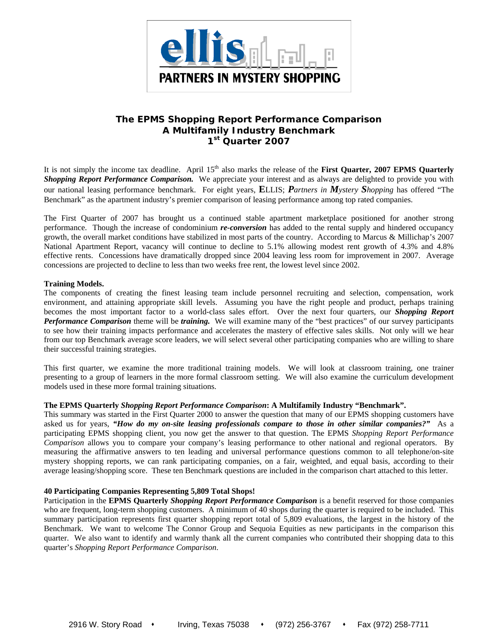

# **The EPMS** *Shopping Report Performance Comparison*  **A Multifamily Industry Benchmark 1st Quarter 2007**

It is not simply the income tax deadline. April 15<sup>th</sup> also marks the release of the **First Quarter, 2007 EPMS Quarterly** *Shopping Report Performance Comparison.* We appreciate your interest and as always are delighted to provide you with our national leasing performance benchmark. For eight years, **E**LLIS; *Partners in Mystery Shopping* has offered "The Benchmark" as the apartment industry's premier comparison of leasing performance among top rated companies.

The First Quarter of 2007 has brought us a continued stable apartment marketplace positioned for another strong performance. Though the increase of condominium *re-conversion* has added to the rental supply and hindered occupancy growth, the overall market conditions have stabilized in most parts of the country. According to Marcus & Millichap's 2007 National Apartment Report, vacancy will continue to decline to 5.1% allowing modest rent growth of 4.3% and 4.8% effective rents. Concessions have dramatically dropped since 2004 leaving less room for improvement in 2007. Average concessions are projected to decline to less than two weeks free rent, the lowest level since 2002.

# **Training Models.**

The components of creating the finest leasing team include personnel recruiting and selection, compensation, work environment, and attaining appropriate skill levels. Assuming you have the right people and product, perhaps training becomes the most important factor to a world-class sales effort. Over the next four quarters, our *Shopping Report Performance Comparison* theme will be *training.* We will examine many of the "best practices" of our survey participants to see how their training impacts performance and accelerates the mastery of effective sales skills. Not only will we hear from our top Benchmark average score leaders, we will select several other participating companies who are willing to share their successful training strategies.

This first quarter, we examine the more traditional training models. We will look at classroom training, one trainer presenting to a group of learners in the more formal classroom setting. We will also examine the curriculum development models used in these more formal training situations.

# **The EPMS Quarterly** *Shopping Report Performance Comparison***: A Multifamily Industry "Benchmark".**

This summary was started in the First Quarter 2000 to answer the question that many of our EPMS shopping customers have asked us for years, *"How do my on-site leasing professionals compare to those in other similar companies?"* As a participating EPMS shopping client, you now get the answer to that question. The EPMS *Shopping Report Performance Comparison* allows you to compare your company's leasing performance to other national and regional operators. By measuring the affirmative answers to ten leading and universal performance questions common to all telephone/on-site mystery shopping reports, we can rank participating companies, on a fair, weighted, and equal basis, according to their average leasing/shopping score. These ten Benchmark questions are included in the comparison chart attached to this letter.

# **40 Participating Companies Representing 5,809 Total Shops!**

Participation in the **EPMS Quarterly** *Shopping Report Performance Comparison* is a benefit reserved for those companies who are frequent, long-term shopping customers. A minimum of 40 shops during the quarter is required to be included. This summary participation represents first quarter shopping report total of 5,809 evaluations, the largest in the history of the Benchmark. We want to welcome The Connor Group and Sequoia Equities as new participants in the comparison this quarter. We also want to identify and warmly thank all the current companies who contributed their shopping data to this quarter's *Shopping Report Performance Comparison*.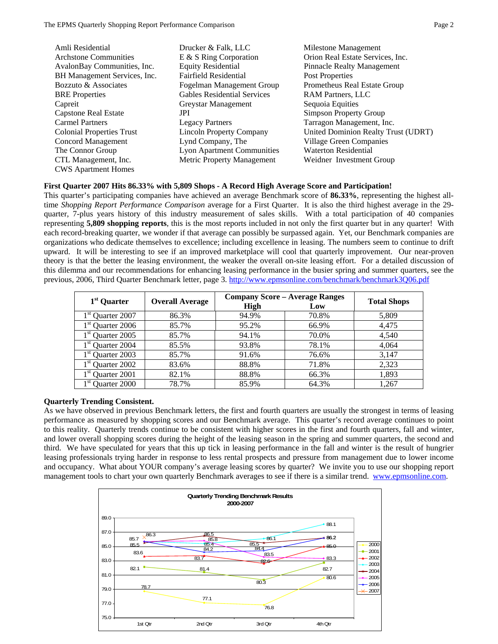| Amli Residential                 | Drucker & Falk, LLC                | Milestone Management                |
|----------------------------------|------------------------------------|-------------------------------------|
| <b>Archstone Communities</b>     | $E \& S$ Ring Corporation          | Orion Real Estate Services, Inc.    |
| AvalonBay Communities, Inc.      | <b>Equity Residential</b>          | <b>Pinnacle Realty Management</b>   |
| BH Management Services, Inc.     | Fairfield Residential              | Post Properties                     |
| Bozzuto & Associates             | Fogelman Management Group          | Prometheus Real Estate Group        |
| <b>BRE</b> Properties            | <b>Gables Residential Services</b> | <b>RAM Partners, LLC</b>            |
| Capreit                          | Greystar Management                | Sequoia Equities                    |
| <b>Capstone Real Estate</b>      | JPI                                | <b>Simpson Property Group</b>       |
| <b>Carmel Partners</b>           | <b>Legacy Partners</b>             | Tarragon Management, Inc.           |
| <b>Colonial Properties Trust</b> | <b>Lincoln Property Company</b>    | United Dominion Realty Trust (UDRT) |
| Concord Management               | Lynd Company, The                  | <b>Village Green Companies</b>      |
| The Connor Group                 | <b>Lyon Apartment Communities</b>  | <b>Waterton Residential</b>         |
| CTL Management, Inc.             | Metric Property Management         | Weidner Investment Group            |
| <b>CWS</b> Apartment Homes       |                                    |                                     |

# **First Quarter 2007 Hits 86.33% with 5,809 Shops - A Record High Average Score and Participation!**

This quarter's participating companies have achieved an average Benchmark score of **86.33%**, representing the highest alltime *Shopping Report Performance Comparison* average for a First Quarter. It is also the third highest average in the 29 quarter, 7-plus years history of this industry measurement of sales skills. With a total participation of 40 companies representing **5,809 shopping reports**, this is the most reports included in not only the first quarter but in any quarter! With each record-breaking quarter, we wonder if that average can possibly be surpassed again. Yet, our Benchmark companies are organizations who dedicate themselves to excellence; including excellence in leasing. The numbers seem to continue to drift upward. It will be interesting to see if an improved marketplace will cool that quarterly improvement. Our near-proven theory is that the better the leasing environment, the weaker the overall on-site leasing effort. For a detailed discussion of this dilemma and our recommendations for enhancing leasing performance in the busier spring and summer quarters, see the previous, 2006, Third Quarter Benchmark letter, page 3. http://www.epmsonline.com/benchmark/benchmark3Q06.pdf

| $1st$ Quarter                |                        | <b>Company Score - Average Ranges</b> |       |                    |  |
|------------------------------|------------------------|---------------------------------------|-------|--------------------|--|
|                              | <b>Overall Average</b> | <b>High</b>                           | Low   | <b>Total Shops</b> |  |
| 1 <sup>st</sup> Quarter 2007 | 86.3%                  | 94.9%                                 | 70.8% | 5,809              |  |
| $1st$ Quarter 2006           | 85.7%                  | 95.2%                                 | 66.9% | 4.475              |  |
| $1st$ Quarter 2005           | 85.7%                  | 94.1%                                 | 70.0% | 4,540              |  |
| $1st$ Quarter 2004           | 85.5%                  | 93.8%                                 | 78.1% | 4,064              |  |
| Quarter 2003                 | 85.7%                  | 91.6%                                 | 76.6% | 3,147              |  |
| $1st$ Quarter 2002           | 83.6%                  | 88.8%                                 | 71.8% | 2,323              |  |
| 1 <sup>st</sup> Quarter 2001 | 82.1%                  | 88.8%                                 | 66.3% | 1,893              |  |
| Quarter 2000                 | 78.7%                  | 85.9%                                 | 64.3% | 1.267              |  |

# **Quarterly Trending Consistent.**

As we have observed in previous Benchmark letters, the first and fourth quarters are usually the strongest in terms of leasing performance as measured by shopping scores and our Benchmark average. This quarter's record average continues to point to this reality. Quarterly trends continue to be consistent with higher scores in the first and fourth quarters, fall and winter, and lower overall shopping scores during the height of the leasing season in the spring and summer quarters, the second and third. We have speculated for years that this up tick in leasing performance in the fall and winter is the result of hungrier leasing professionals trying harder in response to less rental prospects and pressure from management due to lower income and occupancy. What about YOUR company's average leasing scores by quarter? We invite you to use our shopping report management tools to chart your own quarterly Benchmark averages to see if there is a similar trend. www.epmsonline.com.

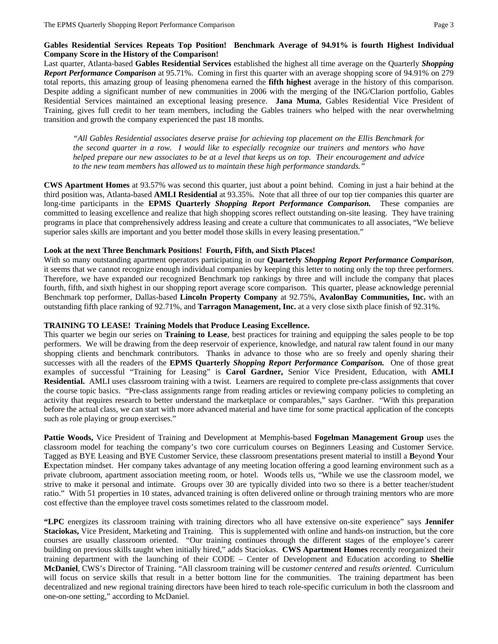# **Gables Residential Services Repeats Top Position! Benchmark Average of 94.91% is fourth Highest Individual Company Score in the History of the Comparison!**

Last quarter, Atlanta-based **Gables Residential Services** established the highest all time average on the Quarterly *Shopping Report Performance Comparison* at 95.71%. Coming in first this quarter with an average shopping score of 94.91% on 279 total reports, this amazing group of leasing phenomena earned the **fifth highest** average in the history of this comparison. Despite adding a significant number of new communities in 2006 with the merging of the ING/Clarion portfolio, Gables Residential Services maintained an exceptional leasing presence. **Jana Muma**, Gables Residential Vice President of Training, gives full credit to her team members, including the Gables trainers who helped with the near overwhelming transition and growth the company experienced the past 18 months.

*"All Gables Residential associates deserve praise for achieving top placement on the Ellis Benchmark for the second quarter in a row. I would like to especially recognize our trainers and mentors who have helped prepare our new associates to be at a level that keeps us on top. Their encouragement and advice to the new team members has allowed us to maintain these high performance standards."*

**CWS Apartment Homes** at 93.57% was second this quarter, just about a point behind. Coming in just a hair behind at the third position was, Atlanta-based **AMLI Residential** at 93.35%. Note that all three of our top tier companies this quarter are long-time participants in the **EPMS Quarterly** *Shopping Report Performance Comparison.* These companies are committed to leasing excellence and realize that high shopping scores reflect outstanding on-site leasing. They have training programs in place that comprehensively address leasing and create a culture that communicates to all associates, "We believe superior sales skills are important and you better model those skills in every leasing presentation."

# **Look at the next Three Benchmark Positions! Fourth, Fifth, and Sixth Places!**

With so many outstanding apartment operators participating in our **Quarterly** *Shopping Report Performance Comparison*, it seems that we cannot recognize enough individual companies by keeping this letter to noting only the top three performers. Therefore, we have expanded our recognized Benchmark top rankings by three and will include the company that places fourth, fifth, and sixth highest in our shopping report average score comparison. This quarter, please acknowledge perennial Benchmark top performer, Dallas-based **Lincoln Property Company** at 92.75%, **AvalonBay Communities, Inc.** with an outstanding fifth place ranking of 92.71%, and **Tarragon Management, Inc.** at a very close sixth place finish of 92.31%.

# **TRAINING TO LEASE! Training Models that Produce Leasing Excellence.**

This quarter we begin our series on **Training to Lease**, best practices for training and equipping the sales people to be top performers. We will be drawing from the deep reservoir of experience, knowledge, and natural raw talent found in our many shopping clients and benchmark contributors. Thanks in advance to those who are so freely and openly sharing their successes with all the readers of the **EPMS Quarterly** *Shopping Report Performance Comparison.* One of those great examples of successful "Training for Leasing" is **Carol Gardner,** Senior Vice President, Education, with **AMLI Residential.** AMLI uses classroom training with a twist. Learners are required to complete pre-class assignments that cover the course topic basics. "Pre-class assignments range from reading articles or reviewing company policies to completing an activity that requires research to better understand the marketplace or comparables," says Gardner. "With this preparation before the actual class, we can start with more advanced material and have time for some practical application of the concepts such as role playing or group exercises."

**Pattie Woods,** Vice President of Training and Development at Memphis-based **Fogelman Management Group** uses the classroom model for teaching the company's two core curriculum courses on Beginners Leasing and Customer Service. Tagged as BYE Leasing and BYE Customer Service, these classroom presentations present material to instill a **B**eyond **Y**our **E**xpectation mindset. Her company takes advantage of any meeting location offering a good learning environment such as a private clubroom, apartment association meeting room, or hotel. Woods tells us, "While we use the classroom model, we strive to make it personal and intimate. Groups over 30 are typically divided into two so there is a better teacher/student ratio." With 51 properties in 10 states, advanced training is often delivered online or through training mentors who are more cost effective than the employee travel costs sometimes related to the classroom model.

**"LPC** energizes its classroom training with training directors who all have extensive on-site experience" says **Jennifer Staciokas,** Vice President, Marketing and Training. This is supplemented with online and hands-on instruction, but the core courses are usually classroom oriented. "Our training continues through the different stages of the employee's career building on previous skills taught when initially hired," adds Staciokas. **CWS Apartment Homes** recently reorganized their training department with the launching of their CODE – Center of Development and Education according to **Shellie McDaniel**, CWS's Director of Training. "All classroom training will be *customer centered* and *results oriented.* Curriculum will focus on service skills that result in a better bottom line for the communities. The training department has been decentralized and new regional training directors have been hired to teach role-specific curriculum in both the classroom and one-on-one setting," according to McDaniel.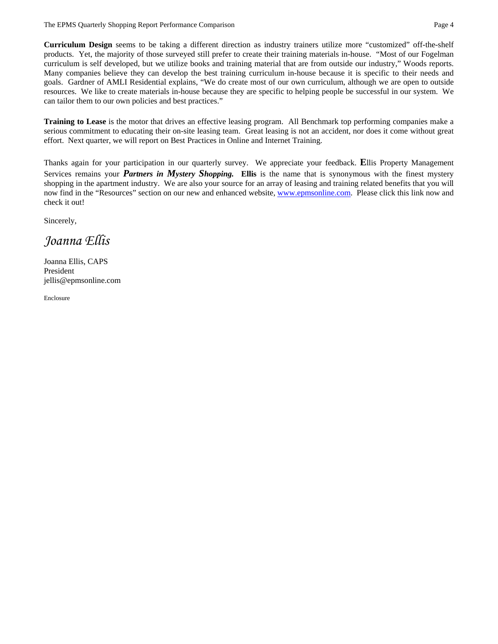**Curriculum Design** seems to be taking a different direction as industry trainers utilize more "customized" off-the-shelf products. Yet, the majority of those surveyed still prefer to create their training materials in-house. "Most of our Fogelman curriculum is self developed, but we utilize books and training material that are from outside our industry," Woods reports. Many companies believe they can develop the best training curriculum in-house because it is specific to their needs and goals. Gardner of AMLI Residential explains, "We do create most of our own curriculum, although we are open to outside resources. We like to create materials in-house because they are specific to helping people be successful in our system. We can tailor them to our own policies and best practices."

**Training to Lease** is the motor that drives an effective leasing program. All Benchmark top performing companies make a serious commitment to educating their on-site leasing team. Great leasing is not an accident, nor does it come without great effort. Next quarter, we will report on Best Practices in Online and Internet Training.

Thanks again for your participation in our quarterly survey. We appreciate your feedback. **E**llis Property Management Services remains your *Partners in Mystery Shopping.* **Ellis** is the name that is synonymous with the finest mystery shopping in the apartment industry. We are also your source for an array of leasing and training related benefits that you will now find in the "Resources" section on our new and enhanced website, www.epmsonline.com. Please click this link now and check it out!

Sincerely,

*Joanna Ellis* 

Joanna Ellis, CAPS President jellis@epmsonline.com

Enclosure